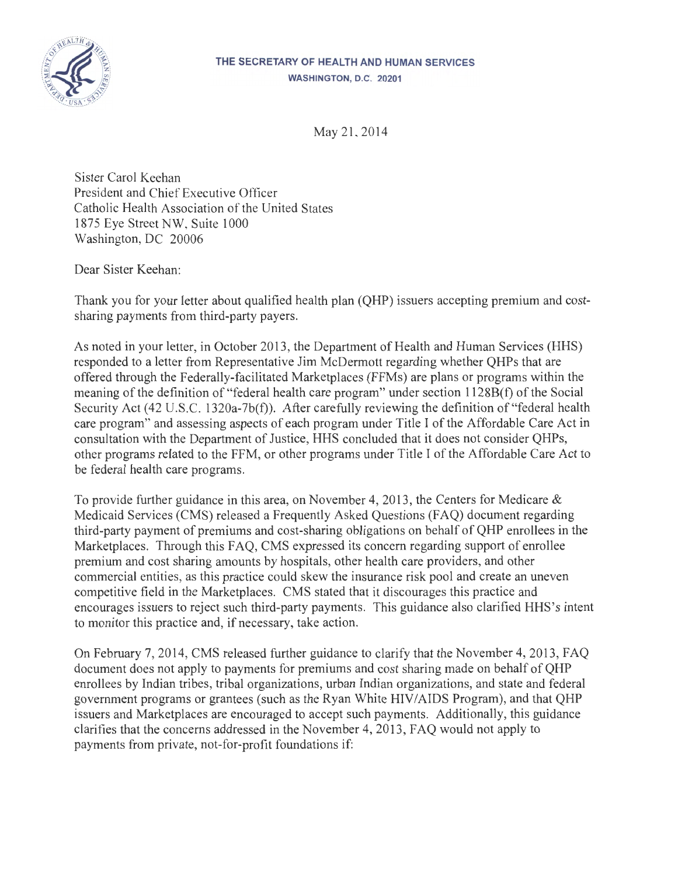

## THE SECRETARY OF HEALTH AND HUMAN SERVICES WASHINGTON, D.C. 20201

May 21, 2014

Sister Carol Keehan President and Chief Executive Officer Catholic Health Association of the United States 1875 Eye Street NW, Suite 1000 Washington, DC 20006

Dear Sister Keehan:

Thank you for your letter about qualified health plan (QHP) issuers accepting premium and costsharing payments from third-party payers.

As noted in your letter, in October 2013, the Department of Health and Human Services (HHS) responded to a letter from Representative Jim McDermott regarding whether QHPs that are offered through the Federally-facilitated Marketplaces (FFMs) are plans or programs within the meaning of the definition of "federal health care program" under section 1128B(f) of the Social Security Act (42 U.S.C. 1320a-7b(f)). After carefully reviewing the definition of "federal health care program" and assessing aspects of each program under Title I of the Affordable Care Act in consultation with the Department of Justice, HHS concluded that it does not consider QHPs, other programs related to the FFM, or other programs under Title I of the Affordable Care Act to be federal health care programs.

To provide further guidance in this area, on November 4, 2013 , the Centers for Medicare & Medicaid Services (CMS) released a Frequently Asked Questions (FAQ) document regarding third-party payment of premiums and cost-sharing obligations on behalf of QHP enrollees in the Marketplaces. Through this FAQ, CMS expressed its concern regarding support of enrollee premium and cost sharing amounts by hospitals, other health care providers, and other commercial entities, as this practice could skew the insurance risk pool and create an uneven competitive field in the Marketplaces. CMS stated that it discourages this practice and encourages issuers to reject such third-party payments. This guidance also clarified HHS's intent to monitor this practice and, if necessary, take action.

On February 7, 2014, CMS released further guidance to clarify that the November 4, 2013, FAQ document does not apply to payments for premiums and cost sharing made on behalf of QHP enrollees by Indian tribes, tribal organizations, urban Indian organizations, and state and federal government programs or grantees (such as the Ryan White HIV/AIDS Program), and that QHP issuers and Marketplaces are encouraged to accept such payments. Additionally, this guidance clarifies that the concerns addressed in the November 4, 2013, FAQ would not apply to payments from private, not-for-profit foundations if: